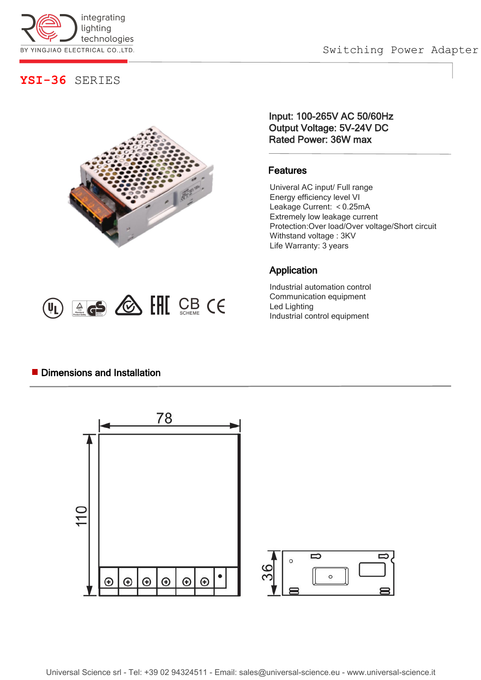

Switching Power Adapter

### **YSI-36** SERIES



 $(\mathbb{Q})$   $\triangleq$   $\triangleq$   $\triangleq$   $\triangleq$   $\triangleq$   $\triangleq$   $\triangleq$   $\triangleq$ 

Input: 100-265V AC 50/60Hz Output Voltage: 5V-24V DC Rated Power: 36W max

#### Features

Univeral AC input/ Full range Energy efficiency level VI<br>Leakage Current: <0.25mA Extremely low leakage current Protection:Over load/Over voltage/Short circuit Withstand voltage : 3KV Life Warranty: 3 years

### Application

Industrial automation control Communication equipment Led Lighting Industrial control equipment

### **Dimensions and Installation**

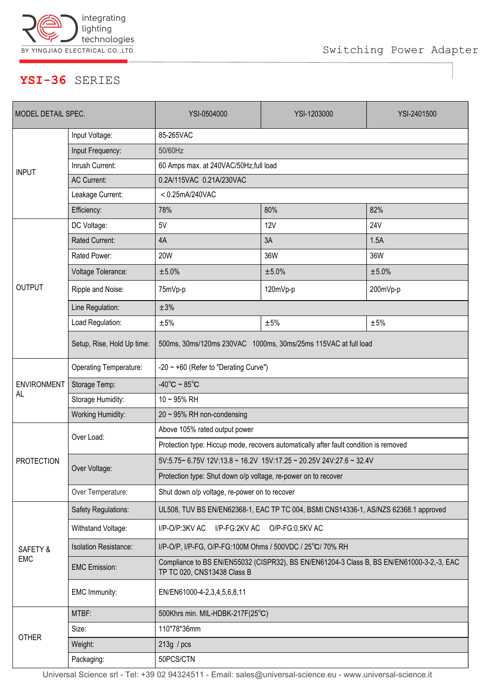

# **YSI-36** SERIES

| MODEL DETAIL SPEC.       |                              | YSI-0504000                                                                                                              | YSI-1203000 | YSI-2401500 |
|--------------------------|------------------------------|--------------------------------------------------------------------------------------------------------------------------|-------------|-------------|
| <b>INPUT</b>             | Input Voltage:               | 85-265VAC                                                                                                                |             |             |
|                          | Input Frequency:             | 50/60Hz                                                                                                                  |             |             |
|                          | Inrush Current:              | 60 Amps max. at 240VAC/50Hz, full load                                                                                   |             |             |
|                          | <b>AC Current:</b>           | 0.2A/115VAC 0.21A/230VAC                                                                                                 |             |             |
|                          | Leakage Current:             | $< 0.25$ mA/240VAC                                                                                                       |             |             |
|                          | Efficiency:                  | 78%                                                                                                                      | 80%         | 82%         |
| <b>OUTPUT</b>            | DC Voltage:                  | 5V                                                                                                                       | <b>12V</b>  | <b>24V</b>  |
|                          | Rated Current:               | 4A                                                                                                                       | 3A          | 1.5A        |
|                          | Rated Power:                 | <b>20W</b>                                                                                                               | 36W         | 36W         |
|                          | Voltage Tolerance:           | ±5.0%                                                                                                                    | ±5.0%       | ±5.0%       |
|                          | Ripple and Noise:            | 75mVp-p                                                                                                                  | 120mVp-p    | 200mVp-p    |
|                          | Line Regulation:             | ±3%                                                                                                                      |             |             |
|                          | Load Regulation:             | $\pm 5\%$                                                                                                                | ±5%         | $\pm 5\%$   |
|                          | Setup, Rise, Hold Up time:   | 500ms, 30ms/120ms 230VAC 1000ms, 30ms/25ms 115VAC at full load                                                           |             |             |
| <b>ENVIRONMENT</b><br>AL | Operating Temperature:       | $-20 \sim +60$ (Refer to "Derating Curve")                                                                               |             |             |
|                          | Storage Temp:                | $-40^{\circ}$ C ~ 85 $^{\circ}$ C                                                                                        |             |             |
|                          | Storage Humidity:            | $10 - 95%$ RH                                                                                                            |             |             |
|                          | <b>Working Humidity:</b>     | $20 \sim 95\%$ RH non-condensing                                                                                         |             |             |
| <b>PROTECTION</b>        | Over Load:                   | Above 105% rated output power                                                                                            |             |             |
|                          |                              | Protection type: Hiccup mode, recovers automatically after fault condition is removed                                    |             |             |
|                          | Over Voltage:                | 5V:5.75~ 6.75V 12V:13.8 ~ 16.2V 15V:17.25 ~ 20.25V 24V:27.6 ~ 32.4V                                                      |             |             |
|                          |                              | Protection type: Shut down o/p voltage, re-power on to recover                                                           |             |             |
|                          | Over Temperature:            | Shut down o/p voltage, re-power on to recover                                                                            |             |             |
| SAFETY &<br><b>EMC</b>   | Safety Regulations:          | UL508, TUV BS EN/EN62368-1, EAC TP TC 004, BSMI CNS14336-1, AS/NZS 62368.1 approved                                      |             |             |
|                          | Withstand Voltage:           | I/P-O/P:3KV AC<br>I/P-FG:2KV AC<br>O/P-FG:0.5KV AC                                                                       |             |             |
|                          | <b>Isolation Resistance:</b> | I/P-O/P, I/P-FG, O/P-FG:100M Ohms / 500VDC / 25°C/ 70% RH                                                                |             |             |
|                          | <b>EMC Emission:</b>         | Compliance to BS EN/EN55032 (CISPR32), BS EN/EN61204-3 Class B, BS EN/EN61000-3-2,-3, EAC<br>TP TC 020, CNS13438 Class B |             |             |
|                          | EMC Immunity:                | EN/EN61000-4-2,3,4,5,6,8,11                                                                                              |             |             |
| <b>OTHER</b>             | MTBF:                        | 500Khrs min. MIL-HDBK-217F(25°C)                                                                                         |             |             |
|                          | Size:                        | 110*78*36mm                                                                                                              |             |             |
|                          | Weight:                      | 213g / pcs                                                                                                               |             |             |
|                          | Packaging:                   | 50PCS/CTN                                                                                                                |             |             |
|                          |                              |                                                                                                                          |             |             |

Universal Science srl - Tel: +39 02 94324511 - Email: sales@universal-science.eu - www.universal-science.it